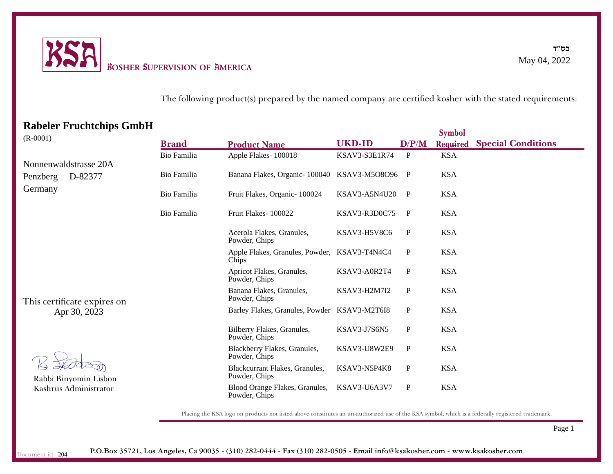

The following product(s) prepared by the named company are certified kosher with the stated requirements:

## **Rabeler Fruchtchips GmbH**

| $(R - 0001)$                                                                                  |              |                                                       |                     |              | <b>Symbol</b> |                           |
|-----------------------------------------------------------------------------------------------|--------------|-------------------------------------------------------|---------------------|--------------|---------------|---------------------------|
|                                                                                               | <b>Brand</b> | <b>Product Name</b>                                   | <b>UKD-ID</b>       | D/P/M        | Required      | <b>Special Conditions</b> |
|                                                                                               | Bio Familia  | Apple Flakes-100018                                   | KSAV3-S3E1R74       | $\mathbf{P}$ | <b>KSA</b>    |                           |
| Nonnenwaldstrasse 20A<br>D-82377<br>Penzberg                                                  | Bio Familia  | Banana Flakes, Organic-100040                         | KSAV3-M5O8O96       | $\mathbf{P}$ | <b>KSA</b>    |                           |
| Germany                                                                                       | Bio Familia  | Fruit Flakes, Organic-100024                          | KSAV3-A5N4U20       | P            | <b>KSA</b>    |                           |
|                                                                                               | Bio Familia  | Fruit Flakes-100022                                   | KSAV3-R3D0C75       | P            | <b>KSA</b>    |                           |
|                                                                                               |              | Acerola Flakes, Granules,<br>Powder, Chips            | KSAV3-H5V8C6        | $\mathbf P$  | <b>KSA</b>    |                           |
|                                                                                               |              | Apple Flakes, Granules, Powder, KSAV3-T4N4C4<br>Chips |                     | P            | <b>KSA</b>    |                           |
|                                                                                               |              | Apricot Flakes, Granules,<br>Powder, Chips            | KSAV3-A0R2T4        | $\mathbf P$  | <b>KSA</b>    |                           |
| This certificate expires on<br>Apr 30, 2023<br>Rabbi Binyomin Lisbon<br>Kashrus Administrator |              | Banana Flakes, Granules,<br>Powder, Chips             | <b>KSAV3-H2M7I2</b> | P            | <b>KSA</b>    |                           |
|                                                                                               |              | Barley Flakes, Granules, Powder KSAV3-M2T6I8          |                     | $\mathbf{P}$ | <b>KSA</b>    |                           |
|                                                                                               |              | Bilberry Flakes, Granules,<br>Powder, Chips           | KSAV3-J7S6N5        | $\mathbf P$  | <b>KSA</b>    |                           |
|                                                                                               |              | Blackberry Flakes, Granules,<br>Powder, Chips         | KSAV3-U8W2E9        | $\mathbf P$  | <b>KSA</b>    |                           |
|                                                                                               |              | Blackcurrant Flakes, Granules,<br>Powder, Chips       | KSAV3-N5P4K8        | $\mathbf{P}$ | <b>KSA</b>    |                           |
|                                                                                               |              | Blood Orange Flakes, Granules,<br>Powder, Chips       | KSAV3-U6A3V7        | P            | <b>KSA</b>    |                           |

Placing the KSA logo on products not listed above constitutes an un-authorized use of the KSA symbol, which is a federally registered trademark.

Page 1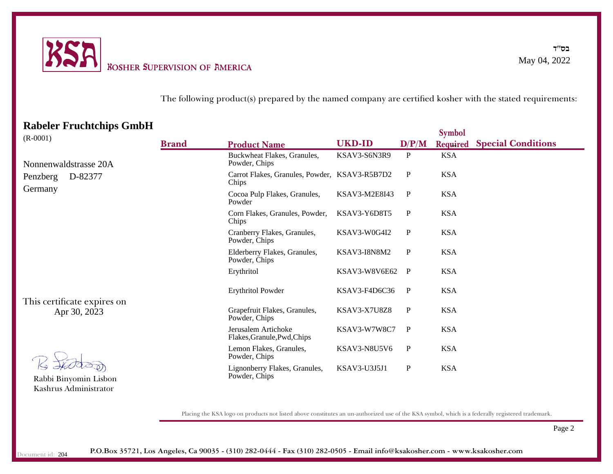

#### The following product(s) prepared by the named company are certified kosher with the stated requirements:

### **Rabeler Fruchtchips GmbH**

|                                              |              |                                                        |               |              | <b>Symbol</b> |                           |
|----------------------------------------------|--------------|--------------------------------------------------------|---------------|--------------|---------------|---------------------------|
| $(R - 0001)$                                 | <b>Brand</b> | <b>Product Name</b>                                    | <b>UKD-ID</b> | D/P/M        | Required      | <b>Special Conditions</b> |
| Nonnenwaldstrasse 20A<br>D-82377<br>Penzberg |              | Buckwheat Flakes, Granules,<br>Powder, Chips           | KSAV3-S6N3R9  | P            | <b>KSA</b>    |                           |
|                                              |              | Carrot Flakes, Granules, Powder, KSAV3-R5B7D2<br>Chips |               | $\mathbf{P}$ | <b>KSA</b>    |                           |
| Germany                                      |              | Cocoa Pulp Flakes, Granules,<br>Powder                 | KSAV3-M2E8I43 | P            | <b>KSA</b>    |                           |
|                                              |              | Corn Flakes, Granules, Powder,<br>Chips                | KSAV3-Y6D8T5  | P            | <b>KSA</b>    |                           |
|                                              |              | Cranberry Flakes, Granules,<br>Powder, Chips           | KSAV3-W0G4I2  | ${\bf P}$    | <b>KSA</b>    |                           |
|                                              |              | Elderberry Flakes, Granules,<br>Powder, Chips          | KSAV3-I8N8M2  | $\mathbf{P}$ | <b>KSA</b>    |                           |
|                                              |              | Erythritol                                             | KSAV3-W8V6E62 | $\mathbf{P}$ | <b>KSA</b>    |                           |
| This certificate expires on<br>Apr 30, 2023  |              | <b>Erythritol Powder</b>                               | KSAV3-F4D6C36 | P            | <b>KSA</b>    |                           |
|                                              |              | Grapefruit Flakes, Granules,<br>Powder, Chips          | KSAV3-X7U8Z8  | $\mathbf{P}$ | <b>KSA</b>    |                           |
|                                              |              | Jerusalem Artichoke<br>Flakes, Granule, Pwd, Chips     | KSAV3-W7W8C7  | $\mathbf{P}$ | <b>KSA</b>    |                           |
| Rabbi Binyomin Lisbon                        |              | Lemon Flakes, Granules,<br>Powder, Chips               | KSAV3-N8U5V6  | $\mathbf{P}$ | <b>KSA</b>    |                           |
|                                              |              | Lignonberry Flakes, Granules,<br>Powder, Chips         | KSAV3-U3J5J1  | $\mathbf P$  | <b>KSA</b>    |                           |

Placing the KSA logo on products not listed above constitutes an un-authorized use of the KSA symbol, which is a federally registered trademark.

Page 2

Kashrus Administrator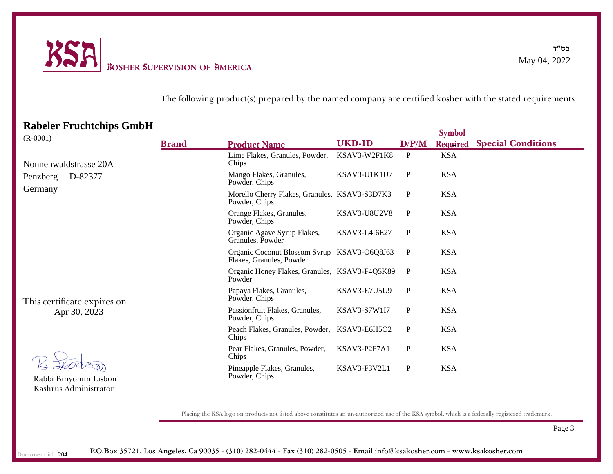

#### The following product(s) prepared by the named company are certified kosher with the stated requirements:

### **Rabeler Fruchtchips GmbH**

|                                              |              |                                                                         |                      |             | <b>Symbol</b> |                           |
|----------------------------------------------|--------------|-------------------------------------------------------------------------|----------------------|-------------|---------------|---------------------------|
| $(R - 0001)$                                 | <b>Brand</b> | <b>Product Name</b>                                                     | <b>UKD-ID</b>        | D/P/M       | Required      | <b>Special Conditions</b> |
| Nonnenwaldstrasse 20A<br>D-82377<br>Penzberg |              | Lime Flakes, Granules, Powder,<br>Chips                                 | KSAV3-W2F1K8         | P           | <b>KSA</b>    |                           |
|                                              |              | Mango Flakes, Granules,<br>Powder, Chips                                | KSAV3-U1K1U7         | P           | <b>KSA</b>    |                           |
| Germany                                      |              | Morello Cherry Flakes, Granules, KSAV3-S3D7K3<br>Powder, Chips          |                      | $\mathbf P$ | <b>KSA</b>    |                           |
|                                              |              | Orange Flakes, Granules,<br>Powder, Chips                               | <b>KSAV3-U8U2V8</b>  | P           | <b>KSA</b>    |                           |
|                                              |              | Organic Agave Syrup Flakes,<br>Granules, Powder                         | <b>KSAV3-L4I6E27</b> | P           | <b>KSA</b>    |                           |
|                                              |              | Organic Coconut Blossom Syrup KSAV3-O6Q8J63<br>Flakes, Granules, Powder |                      | P           | <b>KSA</b>    |                           |
| This certificate expires on<br>Apr 30, 2023  |              | Organic Honey Flakes, Granules, KSAV3-F4Q5K89<br>Powder                 |                      | P           | <b>KSA</b>    |                           |
|                                              |              | Papaya Flakes, Granules,<br>Powder, Chips                               | KSAV3-E7U5U9         | P           | <b>KSA</b>    |                           |
|                                              |              | Passionfruit Flakes, Granules,<br>Powder, Chips                         | <b>KSAV3-S7W1I7</b>  | $\mathbf P$ | <b>KSA</b>    |                           |
|                                              |              | Peach Flakes, Granules, Powder, KSAV3-E6H5O2<br>Chips                   |                      | $\mathbf P$ | <b>KSA</b>    |                           |
| Rabbi Binyomin Lisbon                        |              | Pear Flakes, Granules, Powder,<br>Chips                                 | KSAV3-P2F7A1         | ${\bf P}$   | <b>KSA</b>    |                           |
|                                              |              | Pineapple Flakes, Granules,<br>Powder, Chips                            | KSAV3-F3V2L1         | $\mathbf P$ | <b>KSA</b>    |                           |

Placing the KSA logo on products not listed above constitutes an un-authorized use of the KSA symbol, which is a federally registered trademark.

Page 3

Kashrus Administrator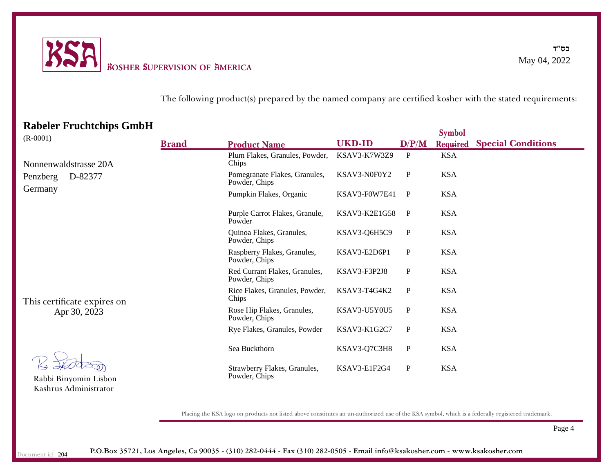

#### The following product(s) prepared by the named company are certified kosher with the stated requirements:

### **Rabeler Fruchtchips GmbH**

|                                              |              |                                                |               |              | <b>Symbol</b>   |                           |
|----------------------------------------------|--------------|------------------------------------------------|---------------|--------------|-----------------|---------------------------|
| $(R - 0001)$                                 | <b>Brand</b> | <b>Product Name</b>                            | <b>UKD-ID</b> | D/P/M        | <b>Required</b> | <b>Special Conditions</b> |
| Nonnenwaldstrasse 20A<br>D-82377<br>Penzberg |              | Plum Flakes, Granules, Powder,<br>Chips        | KSAV3-K7W3Z9  | P            | <b>KSA</b>      |                           |
|                                              |              | Pomegranate Flakes, Granules,<br>Powder, Chips | KSAV3-N0F0Y2  | $\mathbf{P}$ | <b>KSA</b>      |                           |
| Germany                                      |              | Pumpkin Flakes, Organic                        | KSAV3-F0W7E41 | $\mathbf{P}$ | <b>KSA</b>      |                           |
|                                              |              | Purple Carrot Flakes, Granule,<br>Powder       | KSAV3-K2E1G58 | P            | <b>KSA</b>      |                           |
|                                              |              | Quinoa Flakes, Granules,<br>Powder, Chips      | KSAV3-Q6H5C9  | $\mathbf P$  | <b>KSA</b>      |                           |
|                                              |              | Raspberry Flakes, Granules,<br>Powder, Chips   | KSAV3-E2D6P1  | $\mathbf{P}$ | <b>KSA</b>      |                           |
| This certificate expires on<br>Apr 30, 2023  |              | Red Currant Flakes, Granules,<br>Powder, Chips | KSAV3-F3P2J8  | $\mathbf{P}$ | <b>KSA</b>      |                           |
|                                              |              | Rice Flakes, Granules, Powder,<br>Chips        | KSAV3-T4G4K2  | $\mathbf{P}$ | <b>KSA</b>      |                           |
|                                              |              | Rose Hip Flakes, Granules,<br>Powder, Chips    | KSAV3-U5Y0U5  | P            | <b>KSA</b>      |                           |
|                                              |              | Rye Flakes, Granules, Powder                   | KSAV3-K1G2C7  | $\mathbf{P}$ | <b>KSA</b>      |                           |
| Rabbi Binyomin Lisbon                        |              | Sea Buckthorn                                  | KSAV3-Q7C3H8  | P            | <b>KSA</b>      |                           |
|                                              |              | Strawberry Flakes, Granules,<br>Powder, Chips  | KSAV3-E1F2G4  | $\mathbf{P}$ | <b>KSA</b>      |                           |

Placing the KSA logo on products not listed above constitutes an un-authorized use of the KSA symbol, which is a federally registered trademark.

Page 4

Kashrus Administrator